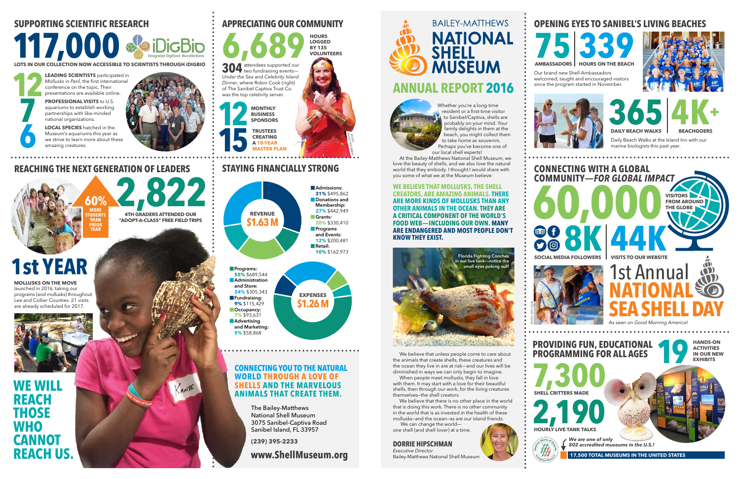304 attendees supported our *Under the Sea* and *Celebrity Island Dinner*, where Robin Cook (right) of The Sanibel Captiva Trust Co. was the top celebrity server.

#### **STAYING FINANCIALLY STRONG REVENUE \$1.63 M EXPENSES \$1.26 M 15 CREATING A 10-YEAR MASTER PLAN** ASHLEY GOODWAN **Admissions: 31%** \$495,862 **p**Donations and **Membership: 27%** \$442,949 þ**Grants: 20%** \$330,410 **Programs and Events: 12%** \$200,481 **F**Retail: **10%** \$162,973 **Programs: 55%** \$689,544 **<u></u>Administration and Store: 24%** \$305,343 þ**Fundraising: 9%** \$115,429 **D**Ccupancy: **7%** \$93,631 **L**Advertising

**LEADING SCIENTISTS** participated in *Mollusks in Peril*, the first international conference on the topic. Their presentations are available online. **12**

**PROFESSIONAL VISITS** to U.S. aquariums to establish working partnerships with like-minded national organizations.

**LOCAL SPECIES** hatched in the Museum's aquariums this year as we strive to learn more about these amazing creatures.



**2,822 4TH GRADERS ATTENDED OUR "ADOPT-A-CLASS" FREE FIELD TRIPS 60% MORE STUDENTS THAN PRIOR YEAR**

**WE WILL REACH THOSE WHO CANNOT REACH US** 

# **SUPPORTING SCIENTIFIC RESEARCH**

**117,000** 

### **REACHING THE NEXT GENERATION OF LEADERS**

**LOTS IN OUR COLLECTION NOW ACCESSIBLE TO SCIENTISTS THROUGH iDIGBIO**

**7**

**6**

**APPRECIATING OUR COMMUNITY**

**LOGGED BY 135 VOLUNTEERS**

**12**

**MONTHLY BUSINESS SPONSORS TRUSTEES** 

# **1st YEAR**

**MOLLUSKS ON THE MOVE** launched in 2016, taking our programs (and mollusks) throughout Lee and Collier Counties. 21 visits are already scheduled for 2017.



PHOTO:

**6,689 HOURS** 

We believe that unless people come to care about the animals that create shells, these creatures and the ocean they live in are at risk—and our lives will be diminished in ways we can only begin to imagine.

**and Marketing: 5%** \$58,868

> The Bailey-Matthews National Shell Museum 3075 Sanibel-Captiva Road Sanibel Island, FL 33957

**(239) 395-2233**

# **www.ShellMuseum.org**

Whether you're a long-time resident or a first-time visitor to Sanibel/Captiva, shells are probably on your mind. Your family delights in them at the beach, you might collect them to take home as souvenirs. Perhaps you've become one of our local shell experts!

**BAILEY-MATTHEWS NATIONAL SHELL MUSEUM ANNUAL REPORT 2016**



At the Bailey-Matthews National Shell Museum, we love the beauty of shells, and we also love the natural world that they embody. I thought I would share with you some of what we at the Museum believe:

**WE BELIEVE THAT MOLLUSKS, THE SHELL CREATORS, ARE AMAZING ANIMALS. THERE ARE MORE KINDS OF MOLLUSKS THAN ANY OTHER ANIMALS IN THE OCEAN. THEY ARE A CRITICAL COMPONENT OF THE WORLD'S FOOD WEB—INCLUDING OUR OWN. MANY ARE ENDANGERED AND MOST PEOPLE DON'T KNOW THEY EXIST.** 

## **OPENING EYES TO SANIBEL'S LIVING BEACHES**

Daily Beach Walks at the Island Inn with our marine biologists this past year.





since the program started in November.





When people meet mollusks, they fall in love with them. It may start with a love for their beautiful shells, then through our work, for the living creatures themselves—the shell creators.

We believe that there is no other place in the world that is doing this work. There is no other community in the world that is as invested in the health of these mollusks—and the ocean—as are our island friends.



 We can change the world one shell (and shell lover) at a time.

#### **DORRIE HIPSCHMAN** *Executive Director*

Bailey-Matthews National Shell Museum



## **CONNECTING WITH A GLOBAL COMMUNITY—** *FOR GLOBAL IMPACT*

...............

**PROVIDING FUN, EDUCATIONAL PROGRAMMING FOR ALL AGES 7,300**

**1991 EXHIBITS** 

**SHELL CRITTERS MADE**

**HANDS-ON ACTIVITIES IN OUR NEW** 



PHOTO: JEFF LYSIAK

**17,500 TOTAL MUSEUMS IN THE UNITED STATES**

*802 accredited museums in the U.S.!*

#### **CONNECTING YOU TO THE NATURAL WORLD THROUGH A LOVE OF SHELLS AND THE MARVELOUS ANIMALS THAT CREATE THEM.**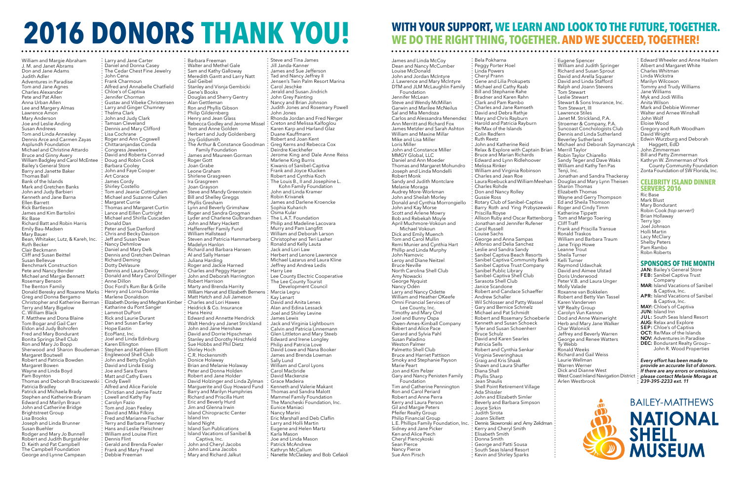William and Margie Abraham J. M. and Janet Abrams Don and Jane Adams Judith Adler Adventures in Paradise Tom and Jane Agnes Charles Alexander Pete and Pat Allen Anna Urban Allen Lee and Margery Almas Lawrence Amon Mary Anderson Joe and Leslie Anding Susan Andrews Tom and Linda Annesley Dennis Arce and Carmen Zayas Asplundh Foundation Michael and Christine Attardo Bruce and Ginny Avery William Badgley and Carol McEntee Bailey's General Store Barry and Janette Baker Thomas Ball Bank of the Islands Mark and Gretchen Banks John and Judy Barbieri Kenneth and Jane Barna Ellen Barrett Rick Bartleson James and Kim Bartolini Ric Base Richard Batt and Robin Harris Emily Bau-Madsen Mary Bauer Bean, Whitaker, Lutz, & Kareh, Inc. Ruth Becker Clair Beckmann Cliff and Susan Beittel Susan Bellevue Benchmark Construction Pete and Nancy Bender Michael and Margie Bennett Rosemary Benson The Benton Family Donald Beresky and Roxanne Marks Greg and Donna Bergamo Christopher and Katherine Berman Terry and Mary Bigelow C. William Black F. Matthew and Dona Blaine Tom Bogar and Gail Carr Eldon and Judy Bohrofen Fred and Mary Bondurant Bonita Springs Shell Club Ron and Mary Jo Bopp Sherwood and Sharon Boudeman Margaret Boutwell Robert and Patricia Bowden Margaret Bowen Wayne and Linda Boyd Pam Boynton Thomas and Deborah Braciszewski Patricia Bradley Patrick and Michaela Brady Stephen and Katherine Branam Edward and Marilyn Braun John and Catherine Bridge Brightstreet Group Lisa Brooks Joseph and Linda Brunner Susan Buehler Rodger and Mary Jo Bunnell Robert and Judith Burgstahler D. Keith and Pat Campbell The Campbell Foundation George and Lynne Campean

Barbara Freeman Walter and Methel Gale Sam and Kathy Galloway Meredith Gantt and Larry Natt Gail Geibel Stanley and Visnja Gembicki Gene's Books Douglas and Sherry Gentry Alan Gettleman Ron and Phyllis Gibson Philip Gildernberg Henry and Jean Glass Rebecca Godley and Jerome Missel Tom and Anne Golden Herbert and Judy Goldenberg Joy Goldsmith The Arthur & Constance Goodman Family Foundation James and Maureen Gorman Roger Gott Joan Grabe Leone Graham Shirlene Grasgreen Ira Grasgreen Joan Grayson Steve and Mandy Greenstein Bill and Shelley Greggs Phyllis Gresham Lynn and Beverly Grimshaw Roger and Sandra Grogman Lyder and Charlene Gulbrandsen John and Mary Hackett Haffenreffer Family Fund William Hallstead Steven and Patricia Hammarberg Madelyn Hanlon Richard and Barbara Hansen Al and Sally Hanser Juliana Harding Roger and Jackie Harned Charles and Peggy Harper John and Deborah Harrington Robert Harrison Marty and Brenda Harrity William Harvat and Elizabeth Bernens Matt Hatch and Juli Jameson Charles and Lori Hawes Heidrick & Co. Insurance Hans Heinz Edward and Annette Hendrick Walt Hendry and Janet Strickland John and Jane Henshaw David and Dorrie Hipschman Stanley and Dorothy Hirschfeld Sue Hobbs and Phil Dietz Shirley Hoch C.R. Hockensmith Donice Holaway Brian and Melanie Holaway Peter and Donna Holden Robert and Jane Holder David Holzinger and Linda Zylman Marguerite and Guy Howard Fund Barry and Marilyn Humphries Richard and Priscilla Hunt Eric and Beverly Hurd Jim and Glenna Irwin Island Chiropractic Center Island Inn Island Night Island Sun Publications Island Vacations of Sanibel & Captiva, Inc. John and Cheryl Jacobs John and Lana Jacobs **Mary and Richard Jalkut** 

Larry and Jane Carter Daniel and Donna Casey The Cedar Chest Fine Jewelry John Cena Frank Charmoun Alfred and Annabelle Chatfield Chloe's of Captiva Jennifer Chorman Gustav and Vibeke Christensen Larry and Ginger Chumney Thelma Clark John and Judy Clark Tamsan Cleveland Dennis and Mary Clifford Lisa Cochrane Roger and Ann Cogswell Chittaranjandas Conda Congress Jewelers David and Roberta Conrad Doug and Robin Cook Barbara Cooley John and Faye Cooper Art Corace James Cordy Shirley Costello Tom and Jeanie Cottingham Michael and Suzanne Cullen Margaret Currie Thomas and Margaret Curtin Lance and Eillen Curtright Michael and Shirlla Cuscaden Donald Dan Peter and Sue Danford Chris and Becky Davison Jeff and Susan Dean Nancy Dehmlow Daniel and Mary Delk Dennis and Gretchen Delman Richard Deming Dotty DeVasure Dennis and Laura Devoy Donald and Mary Carol Dillinger Anne Dillon Doc Ford's Rum Bar & Grille Henry and Lorna Domke Marlene Donaldson Elizabeth Donley and Meghan Kimber Katharine du Pont Sanger Lammot DuPont Rick and Laurie Durant Dan and Susan Earley Hope Eastin EcoPlanz, Inc. Joel and Linda Edinburg Karen Ellington Stephen and Kathleen Elliott Englewood Shell Club John and Betty English David and Linda Essig Joe and Sara Evans Matt and Cathy Evers Cindy Ewell Alfred and Alice Fariole Christian and Jamie Fautz Lowell and Kathy Fay Carolyn Fazio Tom and Joan Feeley David and Mika Filkins Fred and Marianne Fischer Terry and Barbara Flannery Hans and Leslie Fleischner William and Louise Flint Dennis Flint Gerald and Brenda Fowler Frank and Mary Fravel Debbie Freeman

Steve and Tina James Jill Janda-Kanner James and Sue Jefferson Tad and Nancy Jeffrey II Jensen's Twin Palm Resort Marina Carol Jeschke Jerald and Susan Jindrich John Grey Painting Nancy and Brian Johnson Judith Jones and Rosemary Powell John Jones Rhonda Jordan and Fred Nerger Creton and Melissa Kalfoglou Karen Karp and Harland Glaz Duane Kauffmann Robert and Joan Kent Greg Kerns and Rebecca Cox Deirdre Kieckhefer Jerome King and Dale Anne Reiss Marlene King Burris Kiwanis of Sanibel-Captiva Frank and Joyce Klucken Robert and Cynthia Koch The Louis B., II and Josephine L. Kohn Family Foundation John and Linda Kramer Robin Krivanek James and Darlene Kroencke Sophia Kuharich Osma Kular The L.A.T. Foundation Philip and Madeline Lacovara Murry and Pam Langfitt William and Deborah Larson Christopher and Teri Lasher Ronald and Kelly Lauta Jack and Lori Law Herbert and Lenore Lawrence Michael Lazarus and Laura Kline Jeffrey and Andrea Ledis Harry Lee Lee County Electric Cooperative The Lee County Tourist Development Council Marcia Legru Kay Lenart David and Anita Lenes Alan and Edina Lessack Joel and Shirley Levine James Lewis Jack and Virginia Lightbourn Calvin and Patricia Linnemann Glen Littleton and Mary Steeb Edward and Irene Longley Philip and Patricia Love David Lowe and Nana Booker James and Brenda Lowman Sally Lund William and Carol Lyons Carol Macbride David Mackenzie Grace Madeira Kenneth and Valerie Makant Thomas and Sandra Malott Mammel Family Foundation The Mancheski Foundation, Inc. Eunice Maniaci Nancy Marini Eric Marshall and Deb Claflin Larry and Holli Martin Eugene and Helen Martz Karla Mason Joe and Linda Mason Patrick McAndrew Kathryn McCallum Nanette McClaskey and Bob Cefaioli

Barry Roth and Ying Przbyszewski ; Roger and Cindy Timm Bela Pokharna Peggy Porter Hoel Linda Powers Cheryl Prann Gene and Lilia Prokupets Michael and Cathy Raab Bill and Stephanie Rahe Bradner and Karen Rahn Clark and Pam Rambo Charles and Jane Ramseth David and Debra Rathje Mary and Chris Rayburn Harold and Patricia Rayburn Re/Max of the Islands Colin Redfern Ruth Reetz John and Katherine Reid Relax & Explore with Captain Brian Bruce and Marian Richards Edward and Lynn Ridlehoover Melissa Rinker William and Virginia Robinson Charles and Jean Roe Charles Rohde Don and Nancy Rolley Gussie Ross Rotary Club of Sanibel-Captiva Priscilla Royse Allison Ruby and Oscar Rattenborg: Jonathan and Jennifer Rufener Carol Russell Louise Sachs George and Anna Sampas Alfonso and Delia Sanchez Leslie and Sandra Sandy Sanibel Captiva Beach Resorts Sanibel Captiva Community Bank Sanibel Captiva Trust Company Sanibel Public Library Sanibel-Captiva Shell Club Sarasota Shell Club Janice Scandone Robert and Candace Schaeffer Andrew Schaller Wil Schlosser and Patty Wassel Gary and Bernice Schmelz Michael and Pat Schmidt Robert and Rosemary Schoeberle Kenneth and Susan Schoeck Tyler and Susan Schoenherr Bruce Schulz David and Karen Searles Patricia Sells Robert and Cynthia Senkar Virginia Severinghaus Graig and Kris Shaak Shawn and Laura Shaffer Diana Shall Phyllis Sharp Jean Shaulis Shell Point Retirement Village Ada Shissler John and Elizabeth Simler Beverly and Barbara Simpson Joyce Sirkin Judith Sirota Joann Skillett Dennis Skowronski and Amy Zelidman Kerry and Cheryl Smith Elisabeth Smith Donna Smith George and Patti Sousa South Seas Island Resort Kevin and Shirley Sparks

Eugene Spencer William and Judith Springer Richard and Susan Sprout David and Arella Squarer David and Linda Stafford Ralph and Joann Stevens Tom Stewart Leslie Stewart Stewart & Sons Insurance, Inc. Tom Stewart, III Lawrence Stiles Janet M. Strickland, P.A. Stroemer & Company, P.A. Suncoast Conchologists Club Dennis and Linda Sutherland Beverley Sutherland Michael and Deborah Szymanczyk Merrill Taylor Robin Taylor Chiarello Sandy Teger and Dave Waks William and Kathy Ten Pas Tenii, Inc. Jonathan and Sandra Thackeray Laura Roebuck and William Meehan: Douglas and Mary Lynn Theisen Sharon Thomas Elizabeth Thomas Wayne and Gerry Thompson Ed and Sheila Thomson Katherine Tippett Tom and Margo Toering Cliff Traff Frank and Priscilla Transue Ronald Traskos William and Barbara Traum Jane Tripp Howe Leanne Trout Sheila Turner Kelli Turner Raymond Udavchak David and Aimee Ulstad Doris Underwood Peter V.B. and Laura Unger Molly Valade Roxanne van Bokkelen Robert and Betty Van Tassel Karen Vanderven VIP Realty Group Carolyn Vun Kannon Dod and Anne Wainwright Herb and Mary Jane Walker Char Walonick Jeffrey and Beverly Warren George and Renee Watters Ty Webb Ronald Weeks Richard and Gail Weiss Laurie Wellman Warren Werner Dick and Dianne West West Coast Inland Navigation District Arlen Westbrook

Edward Wheeler and Anne Haslem Albert and Margaret White Charles Whitman Linda Wickstra Marilyn Wilcoxon Tommy and Trudy Williams Jane Williams Myk and Jodi Willis Anita Wilson Mark and Debbie Wimmer Walter and Arnee Winshall John Wolf Eloise Wood Gregory and Ruth Woodham David Wright Edwin Wurzburg and Deborah Haggett, EdD John Zimmerman Bill and Patty Zimmerman Kathryn W. Zimmerman of York County Community Foundation Zonta Foundation of SW Florida, Inc.

#### **CELEBRITY ISLAND DINNER SERVERS 2016**

Ric Base

Mark Blust Mary Bondurant Robin Cook *(top server!)* Brian Hollaway Terry Igo Joel Johnson Holli Martin Lacy McClary Shelby Peters Pam Rambo Robn Roberts

#### **SPONSORS OF THE MONTH**

**JAN:** Bailey's General Store **FEB:** Sanibel Captiva Trust Company

- **MAR:** Island Vacations of Sanibel & Captiva, Inc.
- **APR:** Island Vacations of Sanibel & Captiva, Inc.
- **MAY:** Chloe's of Captiva
- **JUN:** Island Inn
- **JUL:** South Seas Island Resort
- **AUG:** Relax and Explore
- **SEP:** Chloe's of Captiva
- **OCT:** Re/Max of the Islands
- **NOV:** Adventures in Paradise
- **DEC:** Bondurant Realty Group— John R. Wood Properties

James and Linda McCoy Dean and Nancy McCumber Louise McDonald John and Jordan McIntyre J. Lawrence and Mary McIntyre DTM and JLM McLaughlin Family Foundation Jennifer McLean Steve and Wendy McMillan Garwin and Marilee McNeilus Sal and Mia Mendoza Carlos and Alessandra Menendez Ann Merritt and Richard Fox James Metzler and Sarah Ashton William and Maxine Millar Mike and Lisa Miller Loris Miller John and Constance Miller MMGY Global, LLC Daniel and Ann Moeder Thomas and Margaret Mohundro Joseph and Linda Mondelli Robert Monk Sandy and Judith Montclare Melanie Moraga Audrey More-Workman John and Sheilah Morley Donald and Cynthia Morrongiello John and Kay Morse Scott and Arlene Mowry Bob and Rebekah Moyle April Muchmore-Vokoun and Michael Vokoun Dick and Emily Muench Tom and Carol Mullin Remi Munier and Cynthia Hart Phillip and Linda Murphy John Namovic Leroy and Diane Neitzel Bruce Neville North Carolina Shell Club Amy Nowacki George Nyquist Nancy Odén Larry and Nancy Odette William and Heather OKeefe Omni Financial Services of Lee County, Inc. Timothy and Mary Ord Joel and Bunny Ospa Owen-Ames-Kimball Company Robert and Alice Pace Gerard and Sylvia Pahl Susan Paladino Weston Palmer Palmetto Shell Club Bruce and Harriet Pattison Smoky and Stephanie Payson Marie Peart Jon and Kim Pelzer Gary and Nancy Penisten Family **Foundation** Tim and Catherine Pennington Ron and Carol Periard Robert and Anne Perra Kerry and Laura Person Gil and Margie Peters Pfeifer Realty Group Philip Financial Group L.E. Phillips Family Foundation, Inc. Sidney and Jane Picker Ken and Alice Piech Cheryl Piencykoski Sean Pierce Nancy Pierce Sue Ann Pirsch

# **2016 DONORS THANK YOU! WITH YOUR SUPPORT, WE LEARN AND LOOK TO THE FUTURE, TOGETHER.**

# **WE DO THE RIGHT THING, TOGETHER. AND WE SUCCEED, TOGETHER!**

*Every effort has been made to provide an accurate list of donors. If there are any errors or omissions, please contact Melanie Moraga at 239-395-2233 ext. 11*

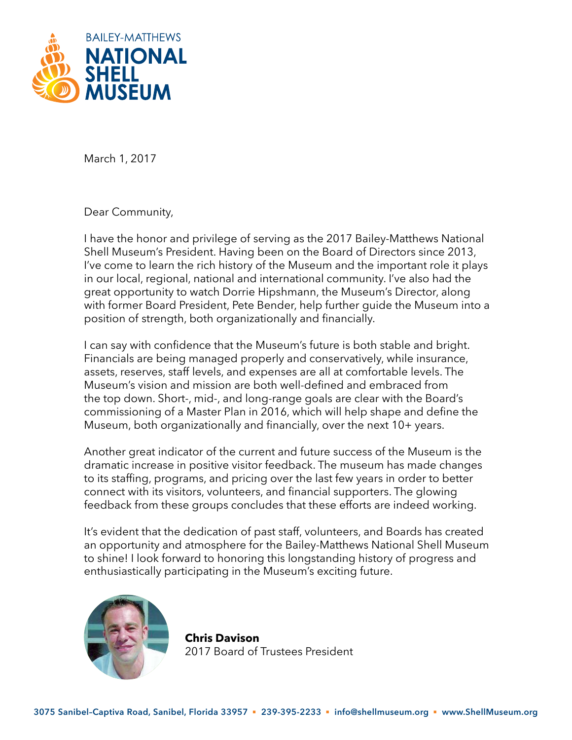

March 1, 2017

Dear Community,

I have the honor and privilege of serving as the 2017 Bailey-Matthews National Shell Museum's President. Having been on the Board of Directors since 2013, I've come to learn the rich history of the Museum and the important role it plays in our local, regional, national and international community. I've also had the great opportunity to watch Dorrie Hipshmann, the Museum's Director, along with former Board President, Pete Bender, help further guide the Museum into a position of strength, both organizationally and financially.

I can say with confidence that the Museum's future is both stable and bright. Financials are being managed properly and conservatively, while insurance, assets, reserves, staff levels, and expenses are all at comfortable levels. The Museum's vision and mission are both well-defined and embraced from the top down. Short-, mid-, and long-range goals are clear with the Board's commissioning of a Master Plan in 2016, which will help shape and define the Museum, both organizationally and financially, over the next 10+ years.

Another great indicator of the current and future success of the Museum is the dramatic increase in positive visitor feedback. The museum has made changes to its staffing, programs, and pricing over the last few years in order to better connect with its visitors, volunteers, and financial supporters. The glowing feedback from these groups concludes that these efforts are indeed working.

It's evident that the dedication of past staff, volunteers, and Boards has created an opportunity and atmosphere for the Bailey-Matthews National Shell Museum to shine! I look forward to honoring this longstanding history of progress and enthusiastically participating in the Museum's exciting future.



**Chris Davison** 2017 Board of Trustees President